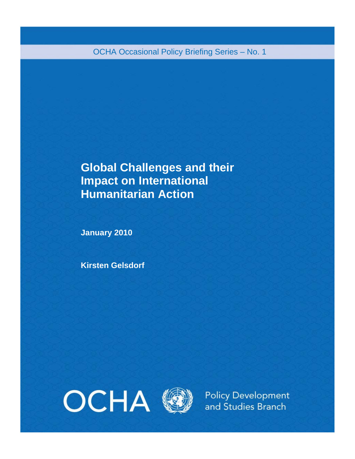OCHA Occasional Policy Briefing Series – No. 1

# **Global Challenges and their Impact on International Humanitarian Action**

**January 2010** 

**Kirsten Gelsdorf** 





**Policy Development** and Studies Branch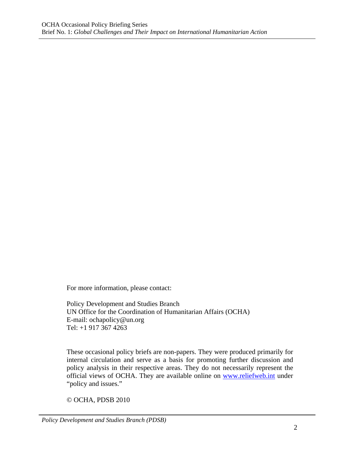For more information, please contact:

Policy Development and Studies Branch UN Office for the Coordination of Humanitarian Affairs (OCHA) E-mail: ochapolicy@un.org Tel: +1 917 367 4263

These occasional policy briefs are non-papers. They were produced primarily for internal circulation and serve as a basis for promoting further discussion and policy analysis in their respective areas. They do not necessarily represent the official views of OCHA. They are available online on www.reliefweb.int under "policy and issues."

© OCHA, PDSB 2010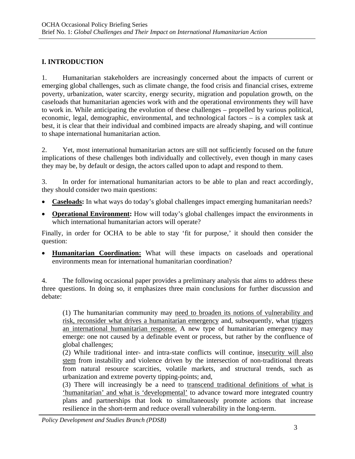### **I. INTRODUCTION**

1. Humanitarian stakeholders are increasingly concerned about the impacts of current or emerging global challenges, such as climate change, the food crisis and financial crises, extreme poverty, urbanization, water scarcity, energy security, migration and population growth, on the caseloads that humanitarian agencies work with and the operational environments they will have to work in. While anticipating the evolution of these challenges – propelled by various political, economic, legal, demographic, environmental, and technological factors – is a complex task at best, it is clear that their individual and combined impacts are already shaping, and will continue to shape international humanitarian action.

2. Yet, most international humanitarian actors are still not sufficiently focused on the future implications of these challenges both individually and collectively, even though in many cases they may be, by default or design, the actors called upon to adapt and respond to them.

3. In order for international humanitarian actors to be able to plan and react accordingly, they should consider two main questions:

- **Caseloads:** In what ways do today's global challenges impact emerging humanitarian needs?
- **Operational Environment:** How will today's global challenges impact the environments in which international humanitarian actors will operate?

Finally, in order for OCHA to be able to stay 'fit for purpose,' it should then consider the question:

• **Humanitarian Coordination:** What will these impacts on caseloads and operational environments mean for international humanitarian coordination?

4. The following occasional paper provides a preliminary analysis that aims to address these three questions. In doing so, it emphasizes three main conclusions for further discussion and debate:

(1) The humanitarian community may need to broaden its notions of vulnerability and risk, reconsider what drives a humanitarian emergency and, subsequently, what triggers an international humanitarian response. A new type of humanitarian emergency may emerge: one not caused by a definable event or process, but rather by the confluence of global challenges;

(2) While traditional inter- and intra-state conflicts will continue, insecurity will also stem from instability and violence driven by the intersection of non-traditional threats from natural resource scarcities, volatile markets, and structural trends, such as urbanization and extreme poverty tipping-points; and,

(3) There will increasingly be a need to transcend traditional definitions of what is 'humanitarian' and what is 'developmental' to advance toward more integrated country plans and partnerships that look to simultaneously promote actions that increase resilience in the short-term and reduce overall vulnerability in the long-term.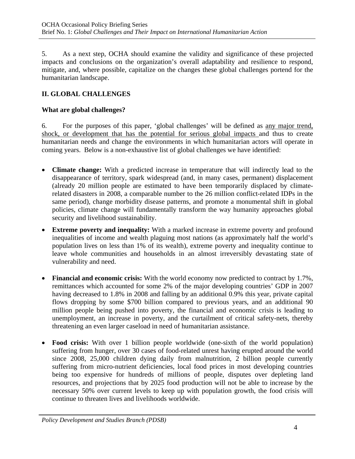5. As a next step, OCHA should examine the validity and significance of these projected impacts and conclusions on the organization's overall adaptability and resilience to respond, mitigate, and, where possible, capitalize on the changes these global challenges portend for the humanitarian landscape.

## **II. GLOBAL CHALLENGES**

#### **What are global challenges?**

6. For the purposes of this paper, 'global challenges' will be defined as any major trend, shock, or development that has the potential for serious global impacts and thus to create humanitarian needs and change the environments in which humanitarian actors will operate in coming years. Below is a non-exhaustive list of global challenges we have identified:

- **Climate change:** With a predicted increase in temperature that will indirectly lead to the disappearance of territory, spark widespread (and, in many cases, permanent) displacement (already 20 million people are estimated to have been temporarily displaced by climaterelated disasters in 2008, a comparable number to the 26 million conflict-related IDPs in the same period), change morbidity disease patterns, and promote a monumental shift in global policies, climate change will fundamentally transform the way humanity approaches global security and livelihood sustainability.
- **Extreme poverty and inequality:** With a marked increase in extreme poverty and profound inequalities of income and wealth plaguing most nations (as approximately half the world's population lives on less than 1% of its wealth), extreme poverty and inequality continue to leave whole communities and households in an almost irreversibly devastating state of vulnerability and need.
- **Financial and economic crisis:** With the world economy now predicted to contract by 1.7%, remittances which accounted for some 2% of the major developing countries' GDP in 2007 having decreased to 1.8% in 2008 and falling by an additional 0.9% this year, private capital flows dropping by some \$700 billion compared to previous years, and an additional 90 million people being pushed into poverty, the financial and economic crisis is leading to unemployment, an increase in poverty, and the curtailment of critical safety-nets, thereby threatening an even larger caseload in need of humanitarian assistance.
- **Food crisis:** With over 1 billion people worldwide (one-sixth of the world population) suffering from hunger, over 30 cases of food-related unrest having erupted around the world since 2008, 25,000 children dying daily from malnutrition, 2 billion people currently suffering from micro-nutrient deficiencies, local food prices in most developing countries being too expensive for hundreds of millions of people, disputes over depleting land resources, and projections that by 2025 food production will not be able to increase by the necessary 50% over current levels to keep up with population growth, the food crisis will continue to threaten lives and livelihoods worldwide.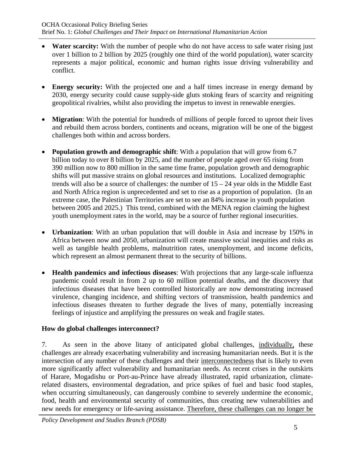- **Water scarcity:** With the number of people who do not have access to safe water rising just over 1 billion to 2 billion by 2025 (roughly one third of the world population), water scarcity represents a major political, economic and human rights issue driving vulnerability and conflict.
- **Energy security:** With the projected one and a half times increase in energy demand by 2030, energy security could cause supply-side gluts stoking fears of scarcity and reigniting geopolitical rivalries, whilst also providing the impetus to invest in renewable energies.
- **Migration**: With the potential for hundreds of millions of people forced to uproot their lives and rebuild them across borders, continents and oceans, migration will be one of the biggest challenges both within and across borders.
- **Population growth and demographic shift:** With a population that will grow from 6.7 billion today to over 8 billion by 2025, and the number of people aged over 65 rising from 390 million now to 800 million in the same time frame, population growth and demographic shifts will put massive strains on global resources and institutions. Localized demographic trends will also be a source of challenges: the number of 15 – 24 year olds in the Middle East and North Africa region is unprecedented and set to rise as a proportion of population. (In an extreme case, the Palestinian Territories are set to see an 84% increase in youth population between 2005 and 2025.) This trend, combined with the MENA region claiming the highest youth unemployment rates in the world, may be a source of further regional insecurities.
- **Urbanization**: With an urban population that will double in Asia and increase by 150% in Africa between now and 2050, urbanization will create massive social inequities and risks as well as tangible health problems, malnutrition rates, unemployment, and income deficits, which represent an almost permanent threat to the security of billions.
- **Health pandemics and infectious diseases**: With projections that any large-scale influenza pandemic could result in from 2 up to 60 million potential deaths, and the discovery that infectious diseases that have been controlled historically are now demonstrating increased virulence, changing incidence, and shifting vectors of transmission, health pandemics and infectious diseases threaten to further degrade the lives of many, potentially increasing feelings of injustice and amplifying the pressures on weak and fragile states.

## **How do global challenges interconnect?**

7. As seen in the above litany of anticipated global challenges, individually, these challenges are already exacerbating vulnerability and increasing humanitarian needs. But it is the intersection of any number of these challenges and their interconnectedness that is likely to even more significantly affect vulnerability and humanitarian needs. As recent crises in the outskirts of Harare, Mogadishu or Port-au-Prince have already illustrated, rapid urbanization, climaterelated disasters, environmental degradation, and price spikes of fuel and basic food staples, when occurring simultaneously, can dangerously combine to severely undermine the economic, food, health and environmental security of communities, thus creating new vulnerabilities and new needs for emergency or life-saving assistance. Therefore, these challenges can no longer be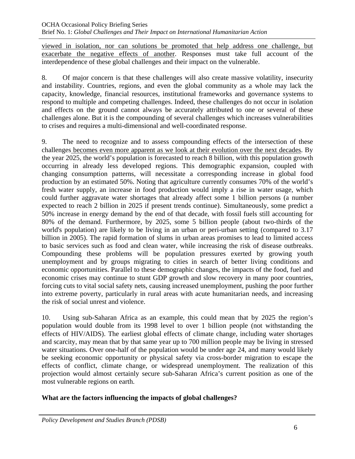viewed in isolation, nor can solutions be promoted that help address one challenge, but exacerbate the negative effects of another. Responses must take full account of the interdependence of these global challenges and their impact on the vulnerable.

8. Of major concern is that these challenges will also create massive volatility, insecurity and instability. Countries, regions, and even the global community as a whole may lack the capacity, knowledge, financial resources, institutional frameworks and governance systems to respond to multiple and competing challenges. Indeed, these challenges do not occur in isolation and effects on the ground cannot always be accurately attributed to one or several of these challenges alone. But it is the compounding of several challenges which increases vulnerabilities to crises and requires a multi-dimensional and well-coordinated response.

9. The need to recognize and to assess compounding effects of the intersection of these challenges becomes even more apparent as we look at their evolution over the next decades. By the year 2025, the world's population is forecasted to reach 8 billion, with this population growth occurring in already less developed regions. This demographic expansion, coupled with changing consumption patterns, will necessitate a corresponding increase in global food production by an estimated 50%. Noting that agriculture currently consumes 70% of the world's fresh water supply, an increase in food production would imply a rise in water usage, which could further aggravate water shortages that already affect some 1 billion persons (a number expected to reach 2 billion in 2025 if present trends continue). Simultaneously, some predict a 50% increase in energy demand by the end of that decade, with fossil fuels still accounting for 80% of the demand. Furthermore, by 2025, some 5 billion people (about two-thirds of the world's population) are likely to be living in an urban or peri-urban setting (compared to 3.17 billion in 2005). The rapid formation of slums in urban areas promises to lead to limited access to basic services such as food and clean water, while increasing the risk of disease outbreaks. Compounding these problems will be population pressures exerted by growing youth unemployment and by groups migrating to cities in search of better living conditions and economic opportunities. Parallel to these demographic changes, the impacts of the food, fuel and economic crises may continue to stunt GDP growth and slow recovery in many poor countries, forcing cuts to vital social safety nets, causing increased unemployment, pushing the poor further into extreme poverty, particularly in rural areas with acute humanitarian needs, and increasing the risk of social unrest and violence.

10. Using sub-Saharan Africa as an example, this could mean that by 2025 the region's population would double from its 1998 level to over 1 billion people (not withstanding the effects of HIV/AIDS). The earliest global effects of climate change, including water shortages and scarcity, may mean that by that same year up to 700 million people may be living in stressed water situations. Over one-half of the population would be under age 24, and many would likely be seeking economic opportunity or physical safety via cross-border migration to escape the effects of conflict, climate change, or widespread unemployment. The realization of this projection would almost certainly secure sub-Saharan Africa's current position as one of the most vulnerable regions on earth.

## **What are the factors influencing the impacts of global challenges?**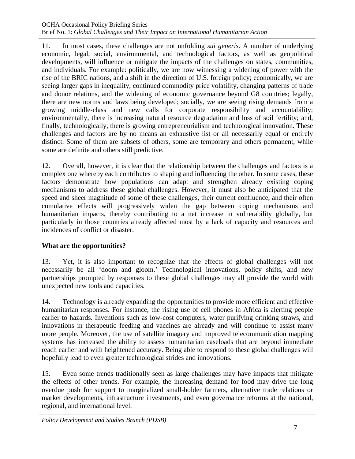11. In most cases, these challenges are not unfolding *sui generis*. A number of underlying economic, legal, social, environmental, and technological factors, as well as geopolitical developments, will influence or mitigate the impacts of the challenges on states, communities, and individuals. For example: politically, we are now witnessing a widening of power with the rise of the BRIC nations, and a shift in the direction of U.S. foreign policy; economically, we are seeing larger gaps in inequality, continued commodity price volatility, changing patterns of trade and donor relations, and the widening of economic governance beyond G8 countries; legally, there are new norms and laws being developed; socially, we are seeing rising demands from a growing middle-class and new calls for corporate responsibility and accountability; environmentally, there is increasing natural resource degradation and loss of soil fertility; and, finally, technologically, there is growing entrepreneurialism and technological innovation. These challenges and factors are by no means an exhaustive list or all necessarily equal or entirely distinct. Some of them are subsets of others, some are temporary and others permanent, while some are definite and others still predictive.

12. Overall, however, it is clear that the relationship between the challenges and factors is a complex one whereby each contributes to shaping and influencing the other. In some cases, these factors demonstrate how populations can adapt and strengthen already existing coping mechanisms to address these global challenges. However, it must also be anticipated that the speed and sheer magnitude of some of these challenges, their current confluence, and their often cumulative effects will progressively widen the gap between coping mechanisms and humanitarian impacts, thereby contributing to a net increase in vulnerability globally, but particularly in those countries already affected most by a lack of capacity and resources and incidences of conflict or disaster.

## **What are the opportunities?**

13. Yet, it is also important to recognize that the effects of global challenges will not necessarily be all 'doom and gloom.' Technological innovations, policy shifts, and new partnerships prompted by responses to these global challenges may all provide the world with unexpected new tools and capacities.

14. Technology is already expanding the opportunities to provide more efficient and effective humanitarian responses. For instance, the rising use of cell phones in Africa is alerting people earlier to hazards. Inventions such as low-cost computers, water purifying drinking straws, and innovations in therapeutic feeding and vaccines are already and will continue to assist many more people. Moreover, the use of satellite imagery and improved telecommunication mapping systems has increased the ability to assess humanitarian caseloads that are beyond immediate reach earlier and with heightened accuracy. Being able to respond to these global challenges will hopefully lead to even greater technological strides and innovations.

15. Even some trends traditionally seen as large challenges may have impacts that mitigate the effects of other trends. For example, the increasing demand for food may drive the long overdue push for support to marginalized small-holder farmers, alternative trade relations or market developments, infrastructure investments, and even governance reforms at the national, regional, and international level.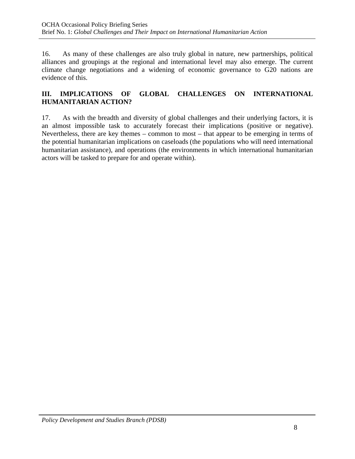16. As many of these challenges are also truly global in nature, new partnerships, political alliances and groupings at the regional and international level may also emerge. The current climate change negotiations and a widening of economic governance to G20 nations are evidence of this.

## **III. IMPLICATIONS OF GLOBAL CHALLENGES ON INTERNATIONAL HUMANITARIAN ACTION?**

17. As with the breadth and diversity of global challenges and their underlying factors, it is an almost impossible task to accurately forecast their implications (positive or negative). Nevertheless, there are key themes – common to most – that appear to be emerging in terms of the potential humanitarian implications on caseloads (the populations who will need international humanitarian assistance), and operations (the environments in which international humanitarian actors will be tasked to prepare for and operate within).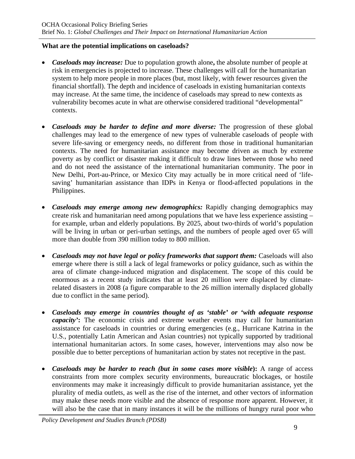#### **What are the potential implications on caseloads?**

- *Caseloads may increase:* Due to population growth alone**,** the absolute number of people at risk in emergencies is projected to increase. These challenges will call for the humanitarian system to help more people in more places (but, most likely, with fewer resources given the financial shortfall). The depth and incidence of caseloads in existing humanitarian contexts may increase. At the same time, the incidence of caseloads may spread to new contexts as vulnerability becomes acute in what are otherwise considered traditional "developmental" contexts.
- *Caseloads may be harder to define and more diverse:* The progression of these global challenges may lead to the emergence of new types of vulnerable caseloads of people with severe life-saving or emergency needs, no different from those in traditional humanitarian contexts. The need for humanitarian assistance may become driven as much by extreme poverty as by conflict or disaster making it difficult to draw lines between those who need and do not need the assistance of the international humanitarian community. The poor in New Delhi, Port-au-Prince, or Mexico City may actually be in more critical need of 'lifesaving' humanitarian assistance than IDPs in Kenya or flood-affected populations in the Philippines.
- *Caseloads may emerge among new demographics:* Rapidly changing demographics may create risk and humanitarian need among populations that we have less experience assisting – for example, urban and elderly populations. By 2025, about two-thirds of world's population will be living in urban or peri-urban settings, and the numbers of people aged over 65 will more than double from 390 million today to 800 million.
- *Caseloads may not have legal or policy frameworks that support them:* Caseloads will also emerge where there is still a lack of legal frameworks or policy guidance, such as within the area of climate change-induced migration and displacement. The scope of this could be enormous as a recent study indicates that at least 20 million were displaced by climaterelated disasters in 2008 (a figure comparable to the 26 million internally displaced globally due to conflict in the same period).
- *Caseloads may emerge in countries thought of as 'stable' or 'with adequate response capacity'***:** The economic crisis and extreme weather events may call for humanitarian assistance for caseloads in countries or during emergencies (e.g., Hurricane Katrina in the U.S., potentially Latin American and Asian countries) not typically supported by traditional international humanitarian actors. In some cases, however, interventions may also now be possible due to better perceptions of humanitarian action by states not receptive in the past.
- *Caseloads may be harder to reach (but in some cases more visible***):** A range of access constraints from more complex security environments, bureaucratic blockages, or hostile environments may make it increasingly difficult to provide humanitarian assistance, yet the plurality of media outlets, as well as the rise of the internet, and other vectors of information may make these needs more visible and the absence of response more apparent. However, it will also be the case that in many instances it will be the millions of hungry rural poor who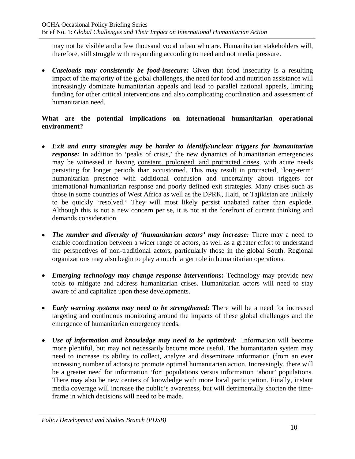may not be visible and a few thousand vocal urban who are. Humanitarian stakeholders will, therefore, still struggle with responding according to need and not media pressure.

• *Caseloads may consistently be food-insecure:* Given that food insecurity is a resulting impact of the majority of the global challenges, the need for food and nutrition assistance will increasingly dominate humanitarian appeals and lead to parallel national appeals, limiting funding for other critical interventions and also complicating coordination and assessment of humanitarian need.

#### **What are the potential implications on international humanitarian operational environment?**

- *Exit and entry strategies may be harder to identify/unclear triggers for humanitarian response:* In addition to 'peaks of crisis,' the new dynamics of humanitarian emergencies may be witnessed in having constant, prolonged, and protracted crises, with acute needs persisting for longer periods than accustomed. This may result in protracted, 'long-term' humanitarian presence with additional confusion and uncertainty about triggers for international humanitarian response and poorly defined exit strategies. Many crises such as those in some countries of West Africa as well as the DPRK, Haiti, or Tajikistan are unlikely to be quickly 'resolved.' They will most likely persist unabated rather than explode. Although this is not a new concern per se, it is not at the forefront of current thinking and demands consideration.
- *The number and diversity of 'humanitarian actors' may increase:* There may a need to enable coordination between a wider range of actors, as well as a greater effort to understand the perspectives of non-traditional actors, particularly those in the global South. Regional organizations may also begin to play a much larger role in humanitarian operations.
- *Emerging technology may change response interventions***:** Technology may provide new tools to mitigate and address humanitarian crises. Humanitarian actors will need to stay aware of and capitalize upon these developments.
- *Early warning systems may need to be strengthened:* There will be a need for increased targeting and continuous monitoring around the impacts of these global challenges and the emergence of humanitarian emergency needs.
- *Use of information and knowledge may need to be optimized:* Information will become more plentiful, but may not necessarily become more useful. The humanitarian system may need to increase its ability to collect, analyze and disseminate information (from an ever increasing number of actors) to promote optimal humanitarian action. Increasingly, there will be a greater need for information 'for' populations versus information 'about' populations. There may also be new centers of knowledge with more local participation. Finally, instant media coverage will increase the public's awareness, but will detrimentally shorten the timeframe in which decisions will need to be made.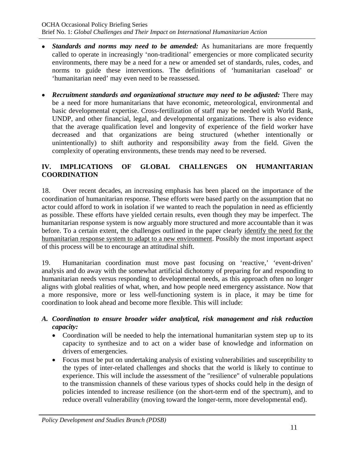- *Standards and norms may need to be amended:* As humanitarians are more frequently called to operate in increasingly 'non-traditional' emergencies or more complicated security environments, there may be a need for a new or amended set of standards, rules, codes, and norms to guide these interventions. The definitions of 'humanitarian caseload' or 'humanitarian need' may even need to be reassessed.
- *Recruitment standards and organizational structure may need to be adjusted:* There may be a need for more humanitarians that have economic, meteorological, environmental and basic developmental expertise. Cross-fertilization of staff may be needed with World Bank, UNDP, and other financial, legal, and developmental organizations. There is also evidence that the average qualification level and longevity of experience of the field worker have decreased and that organizations are being structured (whether intentionally or unintentionally) to shift authority and responsibility away from the field. Given the complexity of operating environments, these trends may need to be reversed.

## **IV. IMPLICATIONS OF GLOBAL CHALLENGES ON HUMANITARIAN COORDINATION**

18. Over recent decades, an increasing emphasis has been placed on the importance of the coordination of humanitarian response. These efforts were based partly on the assumption that no actor could afford to work in isolation if we wanted to reach the population in need as efficiently as possible. These efforts have yielded certain results, even though they may be imperfect. The humanitarian response system is now arguably more structured and more accountable than it was before. To a certain extent, the challenges outlined in the paper clearly identify the need for the humanitarian response system to adapt to a new environment. Possibly the most important aspect of this process will be to encourage an attitudinal shift.

19. Humanitarian coordination must move past focusing on 'reactive,' 'event-driven' analysis and do away with the somewhat artificial dichotomy of preparing for and responding to humanitarian needs versus responding to developmental needs, as this approach often no longer aligns with global realities of what, when, and how people need emergency assistance. Now that a more responsive, more or less well-functioning system is in place, it may be time for coordination to look ahead and become more flexible. This will include:

#### *A. Coordination to ensure broader wider analytical, risk management and risk reduction capacity:*

- Coordination will be needed to help the international humanitarian system step up to its capacity to synthesize and to act on a wider base of knowledge and information on drivers of emergencies.
- Focus must be put on undertaking analysis of existing vulnerabilities and susceptibility to the types of inter-related challenges and shocks that the world is likely to continue to experience. This will include the assessment of the "resilience" of vulnerable populations to the transmission channels of these various types of shocks could help in the design of policies intended to increase resilience (on the short-term end of the spectrum), and to reduce overall vulnerability (moving toward the longer-term, more developmental end).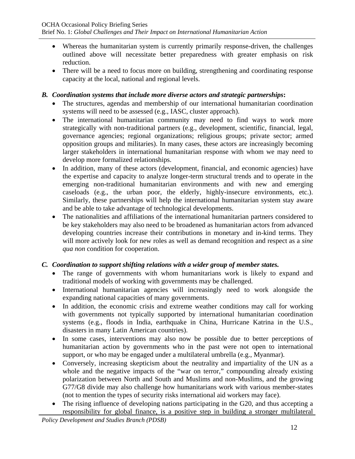- Whereas the humanitarian system is currently primarily response-driven, the challenges outlined above will necessitate better preparedness with greater emphasis on risk reduction.
- There will be a need to focus more on building, strengthening and coordinating response capacity at the local, national and regional levels.

#### *B. Coordination systems that include more diverse actors and strategic partnerships***:**

- The structures, agendas and membership of our international humanitarian coordination systems will need to be assessed (e.g., IASC, cluster approach).
- The international humanitarian community may need to find ways to work more strategically with non-traditional partners (e.g., development, scientific, financial, legal, governance agencies; regional organizations; religious groups; private sector; armed opposition groups and militaries). In many cases, these actors are increasingly becoming larger stakeholders in international humanitarian response with whom we may need to develop more formalized relationships.
- In addition, many of these actors (development, financial, and economic agencies) have the expertise and capacity to analyze longer-term structural trends and to operate in the emerging non-traditional humanitarian environments and with new and emerging caseloads (e.g., the urban poor, the elderly, highly-insecure environments, etc.). Similarly, these partnerships will help the international humanitarian system stay aware and be able to take advantage of technological developments.
- The nationalities and affiliations of the international humanitarian partners considered to be key stakeholders may also need to be broadened as humanitarian actors from advanced developing countries increase their contributions in monetary and in-kind terms. They will more actively look for new roles as well as demand recognition and respect as a *sine qua non* condition for cooperation.

## *C. Coordination to support shifting relations with a wider group of member states.*

- The range of governments with whom humanitarians work is likely to expand and traditional models of working with governments may be challenged.
- International humanitarian agencies will increasingly need to work alongside the expanding national capacities of many governments.
- In addition, the economic crisis and extreme weather conditions may call for working with governments not typically supported by international humanitarian coordination systems (e.g., floods in India, earthquake in China, Hurricane Katrina in the U.S., disasters in many Latin American countries).
- In some cases, interventions may also now be possible due to better perceptions of humanitarian action by governments who in the past were not open to international support, or who may be engaged under a multilateral umbrella (e.g., Myanmar).
- Conversely, increasing skepticism about the neutrality and impartiality of the UN as a whole and the negative impacts of the "war on terror," compounding already existing polarization between North and South and Muslims and non-Muslims, and the growing G77/G8 divide may also challenge how humanitarians work with various member-states (not to mention the types of security risks international aid workers may face).
- The rising influence of developing nations participating in the G20, and thus accepting a responsibility for global finance, is a positive step in building a stronger multilateral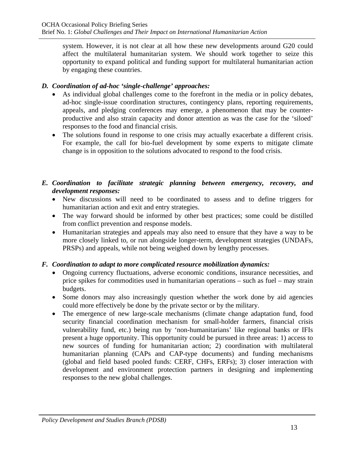system. However, it is not clear at all how these new developments around G20 could affect the multilateral humanitarian system. We should work together to seize this opportunity to expand political and funding support for multilateral humanitarian action by engaging these countries.

## *D. Coordination of ad-hoc 'single-challenge' approaches:*

- As individual global challenges come to the forefront in the media or in policy debates, ad-hoc single-issue coordination structures, contingency plans, reporting requirements, appeals, and pledging conferences may emerge, a phenomenon that may be counterproductive and also strain capacity and donor attention as was the case for the 'siloed' responses to the food and financial crisis.
- The solutions found in response to one crisis may actually exacerbate a different crisis. For example, the call for bio-fuel development by some experts to mitigate climate change is in opposition to the solutions advocated to respond to the food crisis.

## *E. Coordination to facilitate strategic planning between emergency, recovery, and development responses:*

- New discussions will need to be coordinated to assess and to define triggers for humanitarian action and exit and entry strategies.
- The way forward should be informed by other best practices; some could be distilled from conflict prevention and response models.
- Humanitarian strategies and appeals may also need to ensure that they have a way to be more closely linked to, or run alongside longer-term, development strategies (UNDAFs, PRSPs) and appeals, while not being weighed down by lengthy processes.

## *F. Coordination to adapt to more complicated resource mobilization dynamics:*

- Ongoing currency fluctuations, adverse economic conditions, insurance necessities, and price spikes for commodities used in humanitarian operations – such as fuel – may strain budgets.
- Some donors may also increasingly question whether the work done by aid agencies could more effectively be done by the private sector or by the military.
- The emergence of new large-scale mechanisms (climate change adaptation fund, food security financial coordination mechanism for small-holder farmers, financial crisis vulnerability fund, etc.) being run by 'non-humanitarians' like regional banks or IFIs present a huge opportunity. This opportunity could be pursued in three areas: 1) access to new sources of funding for humanitarian action; 2) coordination with multilateral humanitarian planning (CAPs and CAP-type documents) and funding mechanisms (global and field based pooled funds: CERF, CHFs, ERFs); 3) closer interaction with development and environment protection partners in designing and implementing responses to the new global challenges.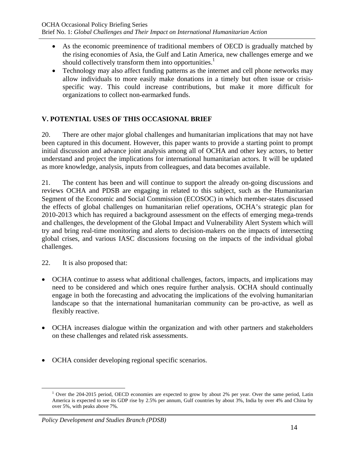- As the economic preeminence of traditional members of OECD is gradually matched by the rising economies of Asia, the Gulf and Latin America, new challenges emerge and we should collectively transform them into opportunities. $<sup>1</sup>$ </sup>
- Technology may also affect funding patterns as the internet and cell phone networks may allow individuals to more easily make donations in a timely but often issue or crisisspecific way. This could increase contributions, but make it more difficult for organizations to collect non-earmarked funds.

## **V. POTENTIAL USES OF THIS OCCASIONAL BRIEF**

20. There are other major global challenges and humanitarian implications that may not have been captured in this document. However, this paper wants to provide a starting point to prompt initial discussion and advance joint analysis among all of OCHA and other key actors, to better understand and project the implications for international humanitarian actors. It will be updated as more knowledge, analysis, inputs from colleagues, and data becomes available.

21. The content has been and will continue to support the already on-going discussions and reviews OCHA and PDSB are engaging in related to this subject, such as the Humanitarian Segment of the Economic and Social Commission (ECOSOC) in which member-states discussed the effects of global challenges on humanitarian relief operations, OCHA's strategic plan for 2010-2013 which has required a background assessment on the effects of emerging mega-trends and challenges, the development of the Global Impact and Vulnerability Alert System which will try and bring real-time monitoring and alerts to decision-makers on the impacts of intersecting global crises, and various IASC discussions focusing on the impacts of the individual global challenges.

22. It is also proposed that:

- OCHA continue to assess what additional challenges, factors, impacts, and implications may need to be considered and which ones require further analysis. OCHA should continually engage in both the forecasting and advocating the implications of the evolving humanitarian landscape so that the international humanitarian community can be pro-active, as well as flexibly reactive.
- OCHA increases dialogue within the organization and with other partners and stakeholders on these challenges and related risk assessments.
- OCHA consider developing regional specific scenarios.

 $\frac{1}{1}$ <sup>1</sup> Over the 204-2015 period, OECD economies are expected to grow by about 2% per year. Over the same period, Latin America is expected to see its GDP rise by 2.5% per annum, Gulf countries by about 3%, India by over 4% and China by over 5%, with peaks above 7%.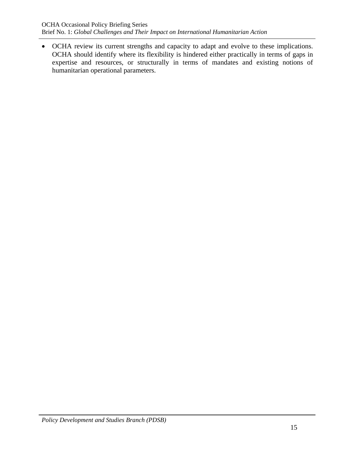• OCHA review its current strengths and capacity to adapt and evolve to these implications. OCHA should identify where its flexibility is hindered either practically in terms of gaps in expertise and resources, or structurally in terms of mandates and existing notions of humanitarian operational parameters.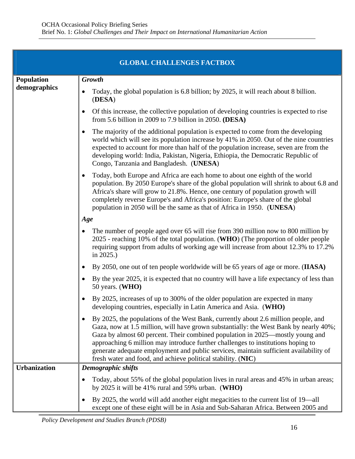|                     | <b>GLOBAL CHALLENGES FACTBOX</b>                                                                                                                                                                                                                                                                                                                                                                                                                                                                          |
|---------------------|-----------------------------------------------------------------------------------------------------------------------------------------------------------------------------------------------------------------------------------------------------------------------------------------------------------------------------------------------------------------------------------------------------------------------------------------------------------------------------------------------------------|
| <b>Population</b>   | <b>Growth</b>                                                                                                                                                                                                                                                                                                                                                                                                                                                                                             |
| demographics        | Today, the global population is 6.8 billion; by 2025, it will reach about 8 billion.<br>(DESA)                                                                                                                                                                                                                                                                                                                                                                                                            |
|                     | Of this increase, the collective population of developing countries is expected to rise<br>from 5.6 billion in 2009 to 7.9 billion in 2050. (DESA)                                                                                                                                                                                                                                                                                                                                                        |
|                     | The majority of the additional population is expected to come from the developing<br>$\bullet$<br>world which will see its population increase by 41% in 2050. Out of the nine countries<br>expected to account for more than half of the population increase, seven are from the<br>developing world: India, Pakistan, Nigeria, Ethiopia, the Democratic Republic of<br>Congo, Tanzania and Bangladesh. (UNESA)                                                                                          |
|                     | Today, both Europe and Africa are each home to about one eighth of the world<br>$\bullet$<br>population. By 2050 Europe's share of the global population will shrink to about 6.8 and<br>Africa's share will grow to 21.8%. Hence, one century of population growth will<br>completely reverse Europe's and Africa's position: Europe's share of the global<br>population in 2050 will be the same as that of Africa in 1950. (UNESA)                                                                     |
|                     | Age                                                                                                                                                                                                                                                                                                                                                                                                                                                                                                       |
|                     | The number of people aged over 65 will rise from 390 million now to 800 million by<br>2025 - reaching 10% of the total population. (WHO) (The proportion of older people<br>requiring support from adults of working age will increase from about 12.3% to 17.2%<br>in 2025.)                                                                                                                                                                                                                             |
|                     | By 2050, one out of ten people worldwide will be 65 years of age or more. (IIASA)<br>$\bullet$                                                                                                                                                                                                                                                                                                                                                                                                            |
|                     | By the year 2025, it is expected that no country will have a life expectancy of less than<br>50 years. (WHO)                                                                                                                                                                                                                                                                                                                                                                                              |
|                     | By 2025, increases of up to 300% of the older population are expected in many<br>developing countries, especially in Latin America and Asia. (WHO)                                                                                                                                                                                                                                                                                                                                                        |
|                     | By 2025, the populations of the West Bank, currently about 2.6 million people, and<br>Gaza, now at 1.5 million, will have grown substantially: the West Bank by nearly 40%;<br>Gaza by almost 60 percent. Their combined population in 2025—mostly young and<br>approaching 6 million may introduce further challenges to institutions hoping to<br>generate adequate employment and public services, maintain sufficient availability of<br>fresh water and food, and achieve political stability. (NIC) |
| <b>Urbanization</b> | Demographic shifts                                                                                                                                                                                                                                                                                                                                                                                                                                                                                        |
|                     | Today, about 55% of the global population lives in rural areas and 45% in urban areas;<br>by 2025 it will be 41% rural and 59% urban. (WHO)                                                                                                                                                                                                                                                                                                                                                               |
|                     | By 2025, the world will add another eight megacities to the current list of 19—all<br>except one of these eight will be in Asia and Sub-Saharan Africa. Between 2005 and                                                                                                                                                                                                                                                                                                                                  |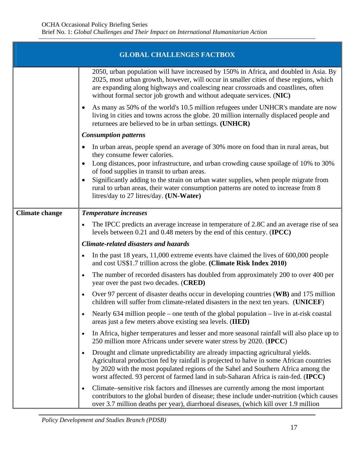| <b>GLOBAL CHALLENGES FACTBOX</b> |                                                                                                                                                                                                                                                                                                                                                         |  |
|----------------------------------|---------------------------------------------------------------------------------------------------------------------------------------------------------------------------------------------------------------------------------------------------------------------------------------------------------------------------------------------------------|--|
|                                  | 2050, urban population will have increased by 150% in Africa, and doubled in Asia. By<br>2025, most urban growth, however, will occur in smaller cities of these regions, which<br>are expanding along highways and coalescing near crossroads and coastlines, often<br>without formal sector job growth and without adequate services. (NIC)           |  |
|                                  | As many as 50% of the world's 10.5 million refugees under UNHCR's mandate are now<br>living in cities and towns across the globe. 20 million internally displaced people and<br>returnees are believed to be in urban settings. (UNHCR)                                                                                                                 |  |
|                                  | <b>Consumption patterns</b>                                                                                                                                                                                                                                                                                                                             |  |
|                                  | In urban areas, people spend an average of 30% more on food than in rural areas, but<br>they consume fewer calories.                                                                                                                                                                                                                                    |  |
|                                  | Long distances, poor infrastructure, and urban crowding cause spoilage of 10% to 30%<br>of food supplies in transit to urban areas.                                                                                                                                                                                                                     |  |
|                                  | Significantly adding to the strain on urban water supplies, when people migrate from<br>rural to urban areas, their water consumption patterns are noted to increase from 8<br>litres/day to 27 litres/day. (UN-Water)                                                                                                                                  |  |
| <b>Climate change</b>            | Temperature increases                                                                                                                                                                                                                                                                                                                                   |  |
|                                  | The IPCC predicts an average increase in temperature of 2.8C and an average rise of sea<br>levels between 0.21 and 0.48 meters by the end of this century. (IPCC)                                                                                                                                                                                       |  |
|                                  | <b>Climate-related disasters and hazards</b>                                                                                                                                                                                                                                                                                                            |  |
|                                  | In the past 18 years, 11,000 extreme events have claimed the lives of 600,000 people<br>$\bullet$<br>and cost US\$1.7 trillion across the globe. (Climate Risk Index 2010)                                                                                                                                                                              |  |
|                                  | The number of recorded disasters has doubled from approximately 200 to over 400 per<br>year over the past two decades. (CRED)                                                                                                                                                                                                                           |  |
|                                  | Over 97 percent of disaster deaths occur in developing countries (WB) and 175 million<br>children will suffer from climate-related disasters in the next ten years. (UNICEF)                                                                                                                                                                            |  |
|                                  | Nearly 634 million people – one tenth of the global population – live in at-risk coastal<br>areas just a few meters above existing sea levels. (IIED)                                                                                                                                                                                                   |  |
|                                  | In Africa, higher temperatures and lesser and more seasonal rainfall will also place up to<br>250 million more Africans under severe water stress by 2020. (IPCC)                                                                                                                                                                                       |  |
|                                  | Drought and climate unpredictability are already impacting agricultural yields.<br>Agricultural production fed by rainfall is projected to halve in some African countries<br>by 2020 with the most populated regions of the Sahel and Southern Africa among the<br>worst affected. 93 percent of farmed land in sub-Saharan Africa is rain-fed. (IPCC) |  |
|                                  | Climate–sensitive risk factors and illnesses are currently among the most important<br>$\bullet$<br>contributors to the global burden of disease; these include under-nutrition (which causes<br>over 3.7 million deaths per year), diarrhoeal diseases, (which kill over 1.9 million                                                                   |  |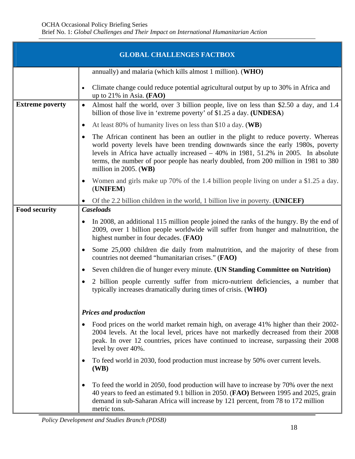| <b>GLOBAL CHALLENGES FACTBOX</b> |                                                                                                                                                                                                                                                                                                                                                                                        |  |
|----------------------------------|----------------------------------------------------------------------------------------------------------------------------------------------------------------------------------------------------------------------------------------------------------------------------------------------------------------------------------------------------------------------------------------|--|
|                                  | annually) and malaria (which kills almost 1 million). ( $WHO$ )                                                                                                                                                                                                                                                                                                                        |  |
|                                  | Climate change could reduce potential agricultural output by up to 30% in Africa and<br>up to $21\%$ in Asia. (FAO)                                                                                                                                                                                                                                                                    |  |
| <b>Extreme poverty</b>           | Almost half the world, over 3 billion people, live on less than \$2.50 a day, and 1.4<br>$\bullet$<br>billion of those live in 'extreme poverty' of \$1.25 a day. (UNDESA)                                                                                                                                                                                                             |  |
|                                  | At least 80% of humanity lives on less than \$10 a day. ( $W$ B)<br>$\bullet$                                                                                                                                                                                                                                                                                                          |  |
|                                  | The African continent has been an outlier in the plight to reduce poverty. Whereas<br>٠<br>world poverty levels have been trending downwards since the early 1980s, poverty<br>levels in Africa have actually increased $-40\%$ in 1981, 51.2% in 2005. In absolute<br>terms, the number of poor people has nearly doubled, from 200 million in 1981 to 380<br>million in 2005. $(WB)$ |  |
|                                  | Women and girls make up 70% of the 1.4 billion people living on under a \$1.25 a day.<br>(UNIFEM)                                                                                                                                                                                                                                                                                      |  |
|                                  | Of the 2.2 billion children in the world, 1 billion live in poverty. (UNICEF)                                                                                                                                                                                                                                                                                                          |  |
| <b>Food security</b>             | <b>Caseloads</b>                                                                                                                                                                                                                                                                                                                                                                       |  |
|                                  | In 2008, an additional 115 million people joined the ranks of the hungry. By the end of<br>2009, over 1 billion people worldwide will suffer from hunger and malnutrition, the<br>highest number in four decades. (FAO)                                                                                                                                                                |  |
|                                  | Some 25,000 children die daily from malnutrition, and the majority of these from<br>countries not deemed "humanitarian crises." (FAO)                                                                                                                                                                                                                                                  |  |
|                                  | Seven children die of hunger every minute. (UN Standing Committee on Nutrition)<br>$\bullet$                                                                                                                                                                                                                                                                                           |  |
|                                  | 2 billion people currently suffer from micro-nutrient deficiencies, a number that<br>typically increases dramatically during times of crisis. (WHO)                                                                                                                                                                                                                                    |  |
|                                  | <b>Prices and production</b>                                                                                                                                                                                                                                                                                                                                                           |  |
|                                  | Food prices on the world market remain high, on average 41% higher than their 2002-<br>$\bullet$<br>2004 levels. At the local level, prices have not markedly decreased from their 2008<br>peak. In over 12 countries, prices have continued to increase, surpassing their 2008<br>level by over 40%.                                                                                  |  |
|                                  | To feed world in 2030, food production must increase by 50% over current levels.<br>(WB)                                                                                                                                                                                                                                                                                               |  |
|                                  | To feed the world in 2050, food production will have to increase by 70% over the next<br>40 years to feed an estimated 9.1 billion in 2050. (FAO) Between 1995 and 2025, grain<br>demand in sub-Saharan Africa will increase by 121 percent, from 78 to 172 million<br>metric tons.                                                                                                    |  |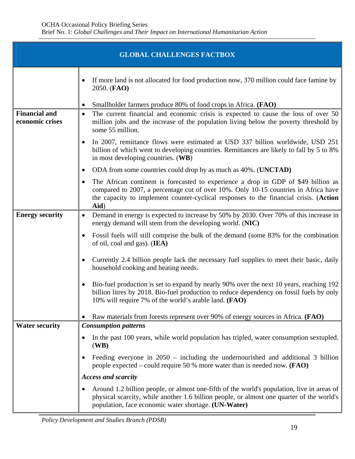| <b>GLOBAL CHALLENGES FACTBOX</b>        |                                                                                                                                                                                                                                                                            |  |
|-----------------------------------------|----------------------------------------------------------------------------------------------------------------------------------------------------------------------------------------------------------------------------------------------------------------------------|--|
|                                         | If more land is not allocated for food production now, 370 million could face famine by<br>2050. (FAO)                                                                                                                                                                     |  |
|                                         | Smallholder farmers produce 80% of food crops in Africa. (FAO)<br>$\bullet$                                                                                                                                                                                                |  |
| <b>Financial and</b><br>economic crises | The current financial and economic crisis is expected to cause the loss of over 50<br>$\bullet$<br>million jobs and the increase of the population living below the poverty threshold by<br>some 55 million.                                                               |  |
|                                         | In 2007, remittance flows were estimated at USD 337 billion worldwide, USD 251<br>billion of which went to developing countries. Remittances are likely to fall by 5 to 8%<br>in most developing countries. (WB)                                                           |  |
|                                         | ODA from some countries could drop by as much as 40%. ( <b>UNCTAD</b> )<br>٠                                                                                                                                                                                               |  |
|                                         | The African continent is forecasted to experience a drop in GDP of \$49 billion as<br>compared to 2007, a percentage cut of over 10%. Only 10-15 countries in Africa have<br>the capacity to implement counter-cyclical responses to the financial crisis. (Action<br>Aid) |  |
| <b>Energy security</b>                  | Demand in energy is expected to increase by 50% by 2030. Over 70% of this increase in<br>$\bullet$<br>energy demand will stem from the developing world. (NIC)                                                                                                             |  |
|                                         | Fossil fuels will still comprise the bulk of the demand (some 83% for the combination<br>$\bullet$<br>of oil, coal and gas). (IEA)                                                                                                                                         |  |
|                                         | Currently 2.4 billion people lack the necessary fuel supplies to meet their basic, daily<br>household cooking and heating needs.                                                                                                                                           |  |
|                                         | Bio-fuel production is set to expand by nearly 90% over the next 10 years, reaching 192<br>$\bullet$<br>billion litres by 2018. Bio-fuel production to reduce dependency on fossil fuels by only<br>10% will require 7% of the world's arable land. ( <b>FAO</b> )         |  |
|                                         | Raw materials from forests represent over 90% of energy sources in Africa. (FAO)                                                                                                                                                                                           |  |
| <b>Water security</b>                   | <b>Consumption patterns</b>                                                                                                                                                                                                                                                |  |
|                                         | In the past 100 years, while world population has tripled, water consumption sextupled.<br>(WB)                                                                                                                                                                            |  |
|                                         | Feeding everyone in $2050$ – including the undernourished and additional 3 billion<br>people expected – could require 50 % more water than is needed now. $(FAO)$                                                                                                          |  |
|                                         | <b>Access and scarcity</b>                                                                                                                                                                                                                                                 |  |
|                                         | Around 1.2 billion people, or almost one-fifth of the world's population, live in areas of<br>physical scarcity, while another 1.6 billion people, or almost one quarter of the world's<br>population, face economic water shortage. (UN-Water)                            |  |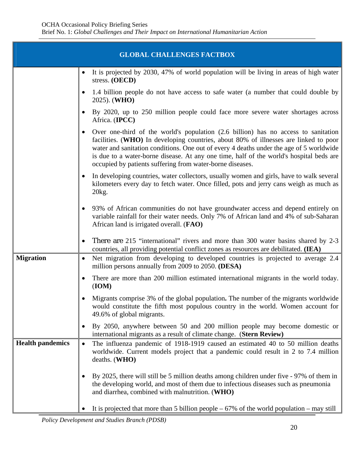| <b>GLOBAL CHALLENGES FACTBOX</b> |                                                                                                                                                                                                                                                                                                                                                                                                                               |  |
|----------------------------------|-------------------------------------------------------------------------------------------------------------------------------------------------------------------------------------------------------------------------------------------------------------------------------------------------------------------------------------------------------------------------------------------------------------------------------|--|
|                                  | It is projected by 2030, 47% of world population will be living in areas of high water<br>$\bullet$<br>stress. (OECD)                                                                                                                                                                                                                                                                                                         |  |
|                                  | 1.4 billion people do not have access to safe water (a number that could double by<br>2025). (WHO)                                                                                                                                                                                                                                                                                                                            |  |
|                                  | By 2020, up to 250 million people could face more severe water shortages across<br>Africa. (IPCC)                                                                                                                                                                                                                                                                                                                             |  |
|                                  | Over one-third of the world's population (2.6 billion) has no access to sanitation<br>facilities. (WHO) In developing countries, about 80% of illnesses are linked to poor<br>water and sanitation conditions. One out of every 4 deaths under the age of 5 worldwide<br>is due to a water-borne disease. At any one time, half of the world's hospital beds are<br>occupied by patients suffering from water-borne diseases. |  |
|                                  | In developing countries, water collectors, usually women and girls, have to walk several<br>kilometers every day to fetch water. Once filled, pots and jerry cans weigh as much as<br>20 <sub>kg</sub> .                                                                                                                                                                                                                      |  |
|                                  | 93% of African communities do not have groundwater access and depend entirely on<br>variable rainfall for their water needs. Only 7% of African land and 4% of sub-Saharan<br>African land is irrigated overall. (FAO)                                                                                                                                                                                                        |  |
|                                  | There are 215 "international" rivers and more than 300 water basins shared by 2-3<br>$\bullet$<br>countries, all providing potential conflict zones as resources are debilitated. (IEA)                                                                                                                                                                                                                                       |  |
| <b>Migration</b>                 | Net migration from developing to developed countries is projected to average 2.4<br>$\bullet$<br>million persons annually from 2009 to 2050. (DESA)                                                                                                                                                                                                                                                                           |  |
|                                  | There are more than 200 million estimated international migrants in the world today.<br>(ION)                                                                                                                                                                                                                                                                                                                                 |  |
|                                  | Migrants comprise 3% of the global population. The number of the migrants worldwide<br>would constitute the fifth most populous country in the world. Women account for<br>49.6% of global migrants.                                                                                                                                                                                                                          |  |
|                                  | By 2050, anywhere between 50 and 200 million people may become domestic or<br>international migrants as a result of climate change. (Stern Review)                                                                                                                                                                                                                                                                            |  |
| <b>Health pandemics</b>          | The influenza pandemic of 1918-1919 caused an estimated 40 to 50 million deaths<br>$\bullet$<br>worldwide. Current models project that a pandemic could result in 2 to 7.4 million<br>deaths. (WHO)                                                                                                                                                                                                                           |  |
|                                  | By 2025, there will still be 5 million deaths among children under five - 97% of them in<br>the developing world, and most of them due to infectious diseases such as pneumonia<br>and diarrhea, combined with malnutrition. (WHO)                                                                                                                                                                                            |  |
|                                  | It is projected that more than 5 billion people $-67\%$ of the world population – may still                                                                                                                                                                                                                                                                                                                                   |  |